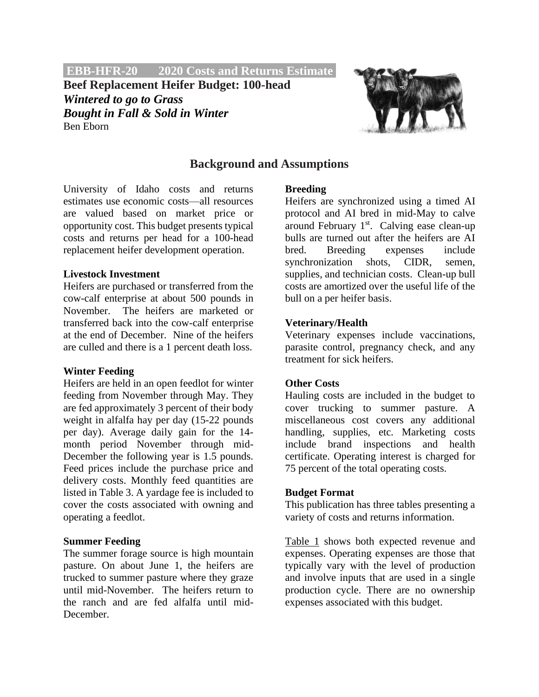**EBB-HFR-20 2020 Costs and Returns Estimate.**

**Beef Replacement Heifer Budget: 100-head** *Wintered to go to Grass Bought in Fall & Sold in Winter* Ben Eborn



## **Background and Assumptions**

University of Idaho costs and returns estimates use economic costs—all resources are valued based on market price or opportunity cost. This budget presents typical costs and returns per head for a 100-head replacement heifer development operation.

#### **Livestock Investment**

Heifers are purchased or transferred from the cow-calf enterprise at about 500 pounds in November. The heifers are marketed or transferred back into the cow-calf enterprise at the end of December. Nine of the heifers are culled and there is a 1 percent death loss.

### **Winter Feeding**

Heifers are held in an open feedlot for winter feeding from November through May. They are fed approximately 3 percent of their body weight in alfalfa hay per day (15-22 pounds per day). Average daily gain for the 14 month period November through mid-December the following year is 1.5 pounds. Feed prices include the purchase price and delivery costs. Monthly feed quantities are listed in Table 3. A yardage fee is included to cover the costs associated with owning and operating a feedlot.

### **Summer Feeding**

The summer forage source is high mountain pasture. On about June 1, the heifers are trucked to summer pasture where they graze until mid-November. The heifers return to the ranch and are fed alfalfa until mid-December.

### **Breeding**

Heifers are synchronized using a timed AI protocol and AI bred in mid-May to calve around February 1<sup>st</sup>. Calving ease clean-up bulls are turned out after the heifers are AI bred. Breeding expenses include synchronization shots, CIDR, semen, supplies, and technician costs. Clean-up bull costs are amortized over the useful life of the bull on a per heifer basis.

### **Veterinary/Health**

Veterinary expenses include vaccinations, parasite control, pregnancy check, and any treatment for sick heifers.

### **Other Costs**

Hauling costs are included in the budget to cover trucking to summer pasture. A miscellaneous cost covers any additional handling, supplies, etc. Marketing costs include brand inspections and health certificate. Operating interest is charged for 75 percent of the total operating costs.

### **Budget Format**

This publication has three tables presenting a variety of costs and returns information.

Table 1 shows both expected revenue and expenses. Operating expenses are those that typically vary with the level of production and involve inputs that are used in a single production cycle. There are no ownership expenses associated with this budget.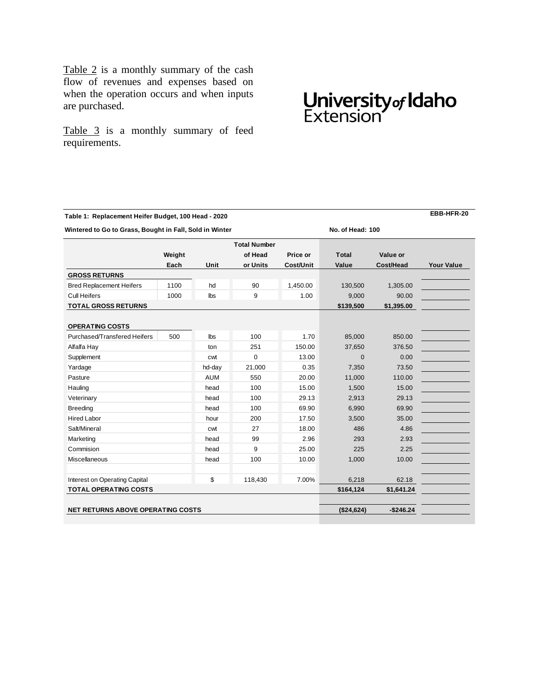Table 2 is a monthly summary of the cash flow of revenues and expenses based on when the operation occurs and when inputs are purchased.

Table 3 is a monthly summary of feed requirements.

# University of Idaho<br>Extension

| Table 1: Replacement Heifer Budget, 100 Head - 2020     |        |                  |                     |            |              |            |                   |  |  |  |  |  |
|---------------------------------------------------------|--------|------------------|---------------------|------------|--------------|------------|-------------------|--|--|--|--|--|
| Wintered to Go to Grass, Bought in Fall, Sold in Winter |        | No. of Head: 100 |                     |            |              |            |                   |  |  |  |  |  |
|                                                         |        |                  | <b>Total Number</b> |            |              |            |                   |  |  |  |  |  |
|                                                         | Weight |                  | of Head             | Price or   | <b>Total</b> | Value or   |                   |  |  |  |  |  |
|                                                         | Each   | Unit             | or Units            | Cost/Unit  | Value        | Cost/Head  | <b>Your Value</b> |  |  |  |  |  |
| <b>GROSS RETURNS</b>                                    |        |                  |                     |            |              |            |                   |  |  |  |  |  |
| <b>Bred Replacement Heifers</b>                         | 1100   | hd               | 90                  | 1,450.00   | 130,500      | 1,305.00   |                   |  |  |  |  |  |
| <b>Cull Heifers</b><br>1000                             |        | 9<br>Ibs         |                     | 1.00       | 9,000        | 90.00      |                   |  |  |  |  |  |
| <b>TOTAL GROSS RETURNS</b>                              |        |                  |                     |            | \$139,500    | \$1,395.00 |                   |  |  |  |  |  |
|                                                         |        |                  |                     |            |              |            |                   |  |  |  |  |  |
| <b>OPERATING COSTS</b>                                  |        |                  |                     |            |              |            |                   |  |  |  |  |  |
| Purchased/Transfered Heifers                            | 500    | $\mathsf{lbs}$   | 100                 | 1.70       | 85,000       | 850.00     |                   |  |  |  |  |  |
| Alfalfa Hay                                             |        | ton              | 251                 | 150.00     | 37,650       | 376.50     |                   |  |  |  |  |  |
| Supplement                                              |        | cwt              | $\mathbf 0$         | 13.00      | $\mathbf 0$  | 0.00       |                   |  |  |  |  |  |
| Yardage                                                 |        | hd-day           | 21,000              | 0.35       | 7,350        | 73.50      |                   |  |  |  |  |  |
| Pasture                                                 |        | <b>AUM</b>       | 550                 | 20.00      | 11,000       | 110.00     |                   |  |  |  |  |  |
| Hauling                                                 |        | head             | 100                 | 15.00      | 1,500        | 15.00      |                   |  |  |  |  |  |
| Veterinary                                              |        | head             | 100                 | 29.13      | 2,913        | 29.13      |                   |  |  |  |  |  |
| <b>Breeding</b>                                         |        | head             | 100                 | 69.90      | 6,990        | 69.90      |                   |  |  |  |  |  |
| <b>Hired Labor</b>                                      |        | hour             | 200                 | 17.50      | 3,500        | 35.00      |                   |  |  |  |  |  |
| Salt/Mineral                                            |        | cwt              | 27                  | 18.00      | 486          | 4.86       |                   |  |  |  |  |  |
| Marketing                                               |        | head             | 99                  | 2.96       | 293          | 2.93       |                   |  |  |  |  |  |
| Commision                                               |        | head             | 9                   | 25.00      | 225          | 2.25       |                   |  |  |  |  |  |
| <b>Miscellaneous</b>                                    |        | head             | 100                 | 10.00      | 1,000        | 10.00      |                   |  |  |  |  |  |
| Interest on Operating Capital                           |        | \$               | 118,430             | 7.00%      | 6,218        | 62.18      |                   |  |  |  |  |  |
| <b>TOTAL OPERATING COSTS</b>                            |        |                  | \$164,124           | \$1,641.24 |              |            |                   |  |  |  |  |  |
|                                                         |        |                  |                     |            |              |            |                   |  |  |  |  |  |
| <b>NET RETURNS ABOVE OPERATING COSTS</b>                |        | (\$24,624)       | $-$246.24$          |            |              |            |                   |  |  |  |  |  |